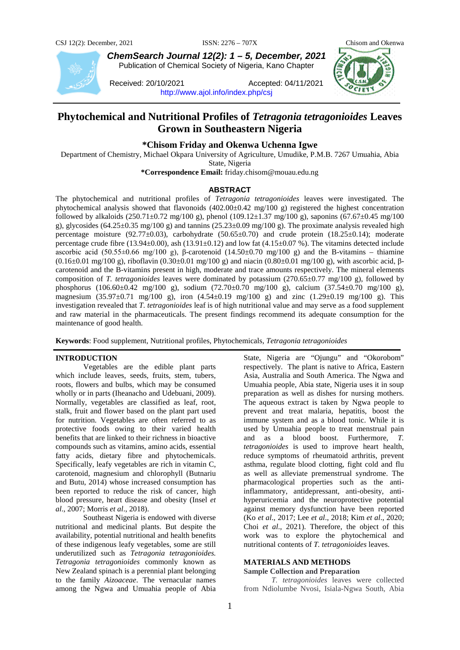

*ChemSearch Journal 12(2): 1 – 5, December, 2021* Publication of Chemical Society of Nigeria, Kano Chapter

Received: 20/10/2021 Accepted: 04/11/2021 <http://www.ajol.info/index.php/csj>



# **Phytochemical and Nutritional Profiles of** *Tetragonia tetragonioides* **Leaves Grown in Southeastern Nigeria**

## **\*Chisom Friday and Okenwa Uchenna Igwe**

Department of Chemistry, Michael Okpara University of Agriculture, Umudike, P.M.B. 7267 Umuahia, Abia State, Nigeria

**\*Correspondence Email:** friday.chisom@mouau.edu.ng

## **ABSTRACT**

The phytochemical and nutritional profiles of *Tetragonia tetragonioides* leaves were investigated. The phytochemical analysis showed that flavonoids  $(402.00\pm0.42 \text{ mg}/100 \text{ g})$  registered the highest concentration followed by alkaloids  $(250.71\pm0.72 \text{ mg}/100 \text{ g})$ , phenol  $(109.12\pm1.37 \text{ mg}/100 \text{ g})$ , saponins  $(67.67\pm0.45 \text{ mg}/100 \text{ g})$ g), glycosides  $(64.25\pm0.35 \text{ mg}/100 \text{ g})$  and tannins  $(25.23\pm0.09 \text{ mg}/100 \text{ g})$ . The proximate analysis revealed high percentage moisture (92.77±0.03), carbohydrate  $(50.65±0.70)$  and crude protein (18.25±0.14); moderate percentage crude fibre (13.94±0.00), ash (13.91±0.12) and low fat (4.15±0.07 %). The vitamins detected include ascorbic acid (50.55 $\pm$ 0.66 mg/100 g), β-carotenoid (14.50 $\pm$ 0.70 mg/100 g) and the B-vitamins – thiamine  $(0.16±0.01 \text{ mg}/100 \text{ g})$ , riboflavin  $(0.30±0.01 \text{ mg}/100 \text{ g})$  and niacin  $(0.80±0.01 \text{ mg}/100 \text{ g})$ , with ascorbic acid, βcarotenoid and the B-vitamins present in high, moderate and trace amounts respectively. The mineral elements composition of *T. tetragonioides* leaves were dominated by potassium (270.65±0.77 mg/100 g), followed by phosphorus (106.60 $\pm$ 0.42 mg/100 g), sodium (72.70 $\pm$ 0.70 mg/100 g), calcium (37.54 $\pm$ 0.70 mg/100 g), magnesium (35.97±0.71 mg/100 g), iron (4.54±0.19 mg/100 g) and zinc (1.29±0.19 mg/100 g). This investigation revealed that *T. tetragonioides* leaf is of high nutritional value and may serve as a food supplement and raw material in the pharmaceuticals. The present findings recommend its adequate consumption for the maintenance of good health.

**Keywords**: Food supplement, Nutritional profiles, Phytochemicals, *Tetragonia tetragonioides*

#### **INTRODUCTION**

Vegetables are the edible plant parts which include leaves, seeds, fruits, stem, tubers, roots, flowers and bulbs, which may be consumed wholly or in parts (Iheanacho and Udebuani, 2009). Normally, vegetables are classified as leaf, root, stalk, fruit and flower based on the plant part used for nutrition. Vegetables are often referred to as protective foods owing to their varied health benefits that are linked to their richness in bioactive compounds such as vitamins, amino acids, essential fatty acids, dietary fibre and phytochemicals. Specifically, leafy vegetables are rich in vitamin C, carotenoid, magnesium and chlorophyll (Butnariu and Butu, 2014) whose increased consumption has been reported to reduce the risk of cancer, high blood pressure, heart disease and obesity (Insel *et al*., 2007; Morris *et al*., 2018).

Southeast Nigeria is endowed with diverse nutritional and medicinal plants. But despite the availability, potential nutritional and health benefits of these indigenous leafy vegetables, some are still underutilized such as *Tetragonia tetragonioides. Tetragonia tetragonioides* commonly known as New Zealand spinach is a perennial plant belonging to the family *Aizoaceae*. The vernacular names among the Ngwa and Umuahia people of Abia

State, Nigeria are "Ojungu" and "Okorobom" respectively. The plant is native to Africa, Eastern Asia, Australia and South America. The Ngwa and Umuahia people, Abia state, Nigeria uses it in soup preparation as well as dishes for nursing mothers. The aqueous extract is taken by Ngwa people to prevent and treat malaria, hepatitis, boost the immune system and as a blood tonic. While it is used by Umuahia people to treat menstrual pain and as a blood boost. Furthermore, *T. tetragonioides* is used to improve heart health, reduce symptoms of rheumatoid arthritis, prevent asthma, regulate blood clotting, fight cold and flu as well as alleviate premenstrual syndrome. The pharmacological properties such as the antiinflammatory, antidepressant, anti-obesity, antihyperuricemia and the neuroprotective potential against memory dysfunction have been reported (Ko *et al*., 2017; Lee *et al*., 2018; Kim *et al*., 2020; Choi *et al*., 2021). Therefore, the object of this work was to explore the phytochemical and nutritional contents of *T. tetragonioides* leaves.

# **MATERIALS AND METHODS**

#### **Sample Collection and Preparation**

*T. tetragonioides* leaves were collected from Ndiolumbe Nvosi, Isiala-Ngwa South, Abia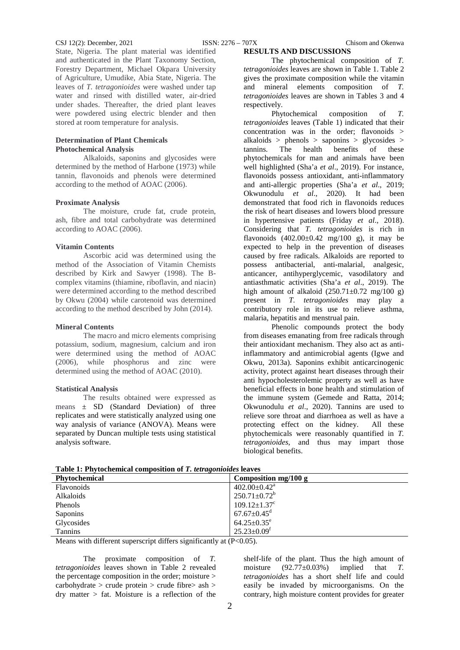#### CSJ 12(2): December, 2021 ISSN: 2276 – 707X Chisom and Okenwa

**RESULTS AND DISCUSSIONS**

State, Nigeria. The plant material was identified and authenticated in the Plant Taxonomy Section, Forestry Department, Michael Okpara University of Agriculture, Umudike, Abia State, Nigeria. The leaves of *T. tetragonioides* were washed under tap water and rinsed with distilled water, air-dried under shades. Thereafter, the dried plant leaves were powdered using electric blender and then stored at room temperature for analysis.

## **Determination of Plant Chemicals Photochemical Analysis**

Alkaloids, saponins and glycosides were determined by the method of Harbone (1973) while tannin, flavonoids and phenols were determined according to the method of AOAC (2006).

### **Proximate Analysis**

The moisture, crude fat, crude protein, ash, fibre and total carbohydrate was determined according to AOAC (2006).

#### **Vitamin Contents**

Ascorbic acid was determined using the method of the Association of Vitamin Chemists described by Kirk and Sawyer (1998). The Bcomplex vitamins (thiamine, riboflavin, and niacin) were determined according to the method described by Okwu (2004) while carotenoid was determined according to the method described by John (2014).

#### **Mineral Contents**

The macro and micro elements comprising potassium, sodium, magnesium, calcium and iron were determined using the method of AOAC (2006), while phosphorus and zinc were determined using the method of AOAC (2010).

#### **Statistical Analysis**

The results obtained were expressed as means ± SD (Standard Deviation) of three replicates and were statistically analyzed using one way analysis of variance (ANOVA). Means were separated by Duncan multiple tests using statistical analysis software.

The phytochemical composition of *T. tetragonioides* leaves are shown in Table 1. Table 2 gives the proximate composition while the vitamin and mineral elements composition of *T. tetragonioides* leaves are shown in Tables 3 and 4 respectively.

Phytochemical composition of *T. tetragonioides* leaves (Table 1) indicated that their concentration was in the order; flavonoids > alkaloids > phenols > saponins > glycosides >  $\tanh$  benefits of these tannins. The health benefits of these phytochemicals for man and animals have been well highlighted (Sha'a *et al*., 2019). For instance, flavonoids possess antioxidant, anti-inflammatory and anti-allergic properties (Sha'a *et al*., 2019; Okwunodulu *et al*., 2020). It had been demonstrated that food rich in flavonoids reduces the risk of heart diseases and lowers blood pressure in hypertensive patients (Friday *et al*., 2018). Considering that *T. tetragonioides* is rich in flavonoids  $(402.00\pm0.42 \text{ mg}/100 \text{ g})$ , it may be expected to help in the prevention of diseases caused by free radicals. Alkaloids are reported to possess antibacterial, anti-malarial, analgesic, anticancer, antihyperglycemic, vasodilatory and antiasthmatic activities (Sha'a *et al*., 2019). The high amount of alkaloid  $(250.71 \pm 0.72 \text{ mg}/100 \text{ g})$ present in *T. tetragonioides* may play a contributory role in its use to relieve asthma, malaria, hepatitis and menstrual pain.

Phenolic compounds protect the body from diseases emanating from free radicals through their antioxidant mechanism. They also act as antiinflammatory and antimicrobial agents (Igwe and Okwu, 2013a). Saponins exhibit anticarcinogenic activity, protect against heart diseases through their anti hypocholesterolemic property as well as have beneficial effects in bone health and stimulation of the immune system (Gemede and Ratta, 2014; Okwunodulu *et al*., 2020). Tannins are used to relieve sore throat and diarrhoea as well as have a protecting effect on the kidney. All these phytochemicals were reasonably quantified in *T. tetragonioides*, and thus may impart those biological benefits.

| Twore It I Hypochemical composition of It few agents are rest to |                                |
|------------------------------------------------------------------|--------------------------------|
| <b>Phytochemical</b>                                             | Composition mg/100 g           |
| <b>Flavonoids</b>                                                | $402.00 \pm 0.42^{\text{a}}$   |
| Alkaloids                                                        | $250.71 \pm 0.72^b$            |
| Phenols                                                          | $109.12 \pm 1.37$ <sup>c</sup> |
| Saponins                                                         | $67.67 {\pm} 0.45^\mathrm{d}$  |
| Glycosides                                                       | $64.25 \pm 0.35$ <sup>e</sup>  |
| <b>Tannins</b>                                                   | $25.23 \pm 0.09$ <sup>f</sup>  |

**Table 1: Phytochemical composition of** *T. tetragonioides* **leaves**

Means with different superscript differs significantly at (P<0.05).

The proximate composition of *T. tetragonioides* leaves shown in Table 2 revealed the percentage composition in the order; moisture > carbohydrate > crude protein > crude fibre> ash > dry matter > fat. Moisture is a reflection of the

shelf-life of the plant. Thus the high amount of moisture (92.77±0.03%) implied that *T. tetragonioides* has a short shelf life and could easily be invaded by microorganisms. On the contrary, high moisture content provides for greater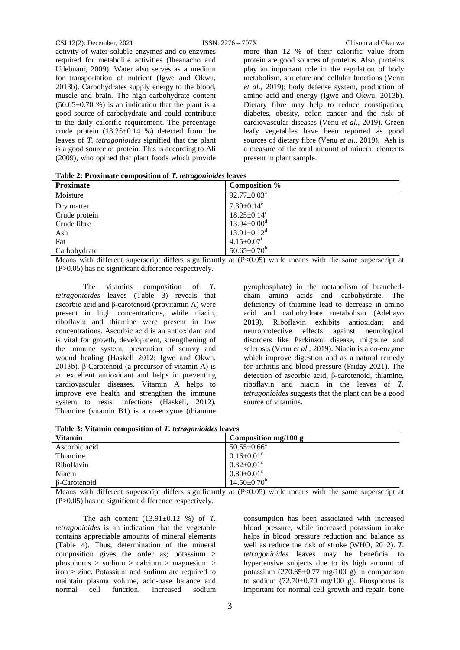activity of water-soluble enzymes and co-enzymes required for metabolite activities (Iheanacho and Udebuani, 2009). Water also serves as a medium for transportation of nutrient (Igwe and Okwu, 2013b). Carbohydrates supply energy to the blood, muscle and brain. The high carbohydrate content  $(50.65\pm0.70)$  %) is an indication that the plant is a good source of carbohydrate and could contribute to the daily calorific requirement. The percentage crude protein  $(18.25\pm0.14)$  %) detected from the leaves of *T. tetragonioides* signified that the plant is a good source of protein. This is according to Ali (2009), who opined that plant foods which provide

more than 12 % of their calorific value from protein are good sources of proteins. Also, proteins play an important role in the regulation of body metabolism, structure and cellular functions (Venu *et al*., 2019); body defense system, production of amino acid and energy (Igwe and Okwu, 2013b). Dietary fibre may help to reduce constipation, diabetes, obesity, colon cancer and the risk of cardiovascular diseases (Venu *et al*., 2019). Green leafy vegetables have been reported as good sources of dietary fibre (Venu *et al*., 2019). Ash is a measure of the total amount of mineral elements present in plant sample.

**Table 2: Proximate composition of** *T. tetragonioides* **leaves**

| $\cdot$<br><b>Proximate</b> | Composition %                 |
|-----------------------------|-------------------------------|
| Moisture                    | $92.77 \pm 0.03^{\text{a}}$   |
| Dry matter                  | $7.30 \pm 0.14^e$             |
| Crude protein               | $18.25 \pm 0.14$ <sup>c</sup> |
| Crude fibre                 | $13.94 \pm 0.00$ <sup>d</sup> |
| Ash                         | $13.91 \pm 0.12$ <sup>d</sup> |
| Fat                         | $4.15 \pm 0.07$ <sup>f</sup>  |
| Carbohydrate                | $50.65 \pm 0.70^b$            |

Means with different superscript differs significantly at (P<0.05) while means with the same superscript at (P>0.05) has no significant difference respectively.

The vitamins composition of *T. tetragonioides* leaves (Table 3) reveals that ascorbic acid and β-carotenoid (provitamin A) were present in high concentrations, while niacin, riboflavin and thiamine were present in low concentrations. Ascorbic acid is an antioxidant and is vital for growth, development, strengthening of the immune system, prevention of scurvy and wound healing (Haskell 2012; Igwe and Okwu, 2013b). β-Carotenoid (a precursor of vitamin A) is an excellent antioxidant and helps in preventing cardiovascular diseases. Vitamin A helps to improve eye health and strengthen the immune system to resist infections (Haskell, 2012). Thiamine (vitamin B1) is a co-enzyme (thiamine

pyrophosphate) in the metabolism of branchedchain amino acids and carbohydrate. The deficiency of thiamine lead to decrease in amino acid and carbohydrate metabolism (Adebayo 2019). Riboflavin exhibits antioxidant and neuroprotective effects against neurological disorders like Parkinson disease, migraine and sclerosis (Venu *et al*., 2019). Niacin is a co-enzyme which improve digestion and as a natural remedy for arthritis and blood pressure (Friday 2021). The detection of ascorbic acid, β-carotenoid, thiamine, riboflavin and niacin in the leaves of *T. tetragonioides* suggests that the plant can be a good source of vitamins.

**Table 3: Vitamin composition of** *T. tetragonioides* **leaves**

| Table of Thanking Composition of 1, <i>for a</i> gonomes feaves |                              |
|-----------------------------------------------------------------|------------------------------|
| <b>Vitamin</b>                                                  | Composition mg/100 g         |
| Ascorbic acid                                                   | $50.55 \pm 0.66^a$           |
| Thiamine                                                        | $0.16 \pm 0.01$ <sup>c</sup> |
| Riboflavin                                                      | $0.32 \pm 0.01$ <sup>c</sup> |
| Niacin                                                          | $0.80 \pm 0.01$ <sup>c</sup> |
| B-Carotenoid                                                    | $14.50 \pm 0.70^b$           |

Means with different superscript differs significantly at  $(P<0.05)$  while means with the same superscript at (P>0.05) has no significant difference respectively.

The ash content (13.91±0.12 %) of *T. tetragonioides* is an indication that the vegetable contains appreciable amounts of mineral elements (Table 4). Thus, determination of the mineral composition gives the order as; potassium > phosphorus > sodium > calcium > magnesium > iron > zinc. Potassium and sodium are required to maintain plasma volume, acid-base balance and normal cell function. Increased sodium

consumption has been associated with increased blood pressure, while increased potassium intake helps in blood pressure reduction and balance as well as reduce the risk of stroke (WHO, 2012). *T. tetragonioides* leaves may be beneficial to hypertensive subjects due to its high amount of potassium  $(270.65 \pm 0.77 \text{ mg}/100 \text{ g})$  in comparison to sodium  $(72.70 \pm 0.70$  mg/100 g). Phosphorus is important for normal cell growth and repair, bone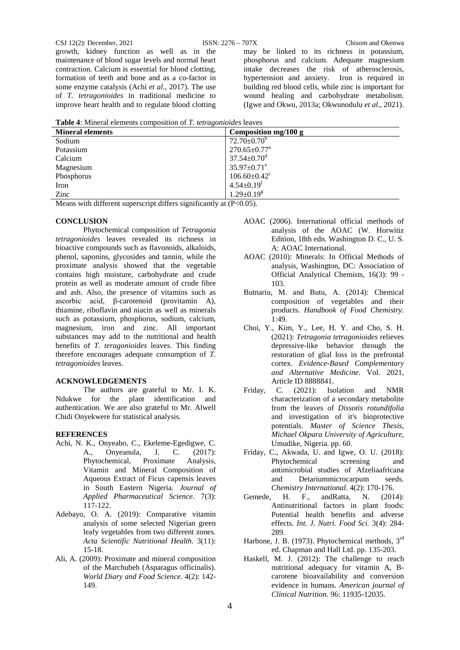growth, kidney function as well as in the maintenance of blood sugar levels and normal heart contraction. Calcium is essential for blood clotting, formation of teeth and bone and as a co-factor in some enzyme catalysis (Achi *et al*., 2017). The use of *T. tetragonioides* in traditional medicine to improve heart health and to regulate blood clotting

may be linked to its richness in potassium, phosphorus and calcium. Adequate magnesium intake decreases the risk of atherosclerosis, hypertension and anxiety. Iron is required in building red blood cells, while zinc is important for wound healing and carbohydrate metabolism. (Igwe and Okwu, 2013a; Okwunodulu *et al*., 2021).

| <b>Table 4:</b> Mineral elements composition of <i>T. tetragonioides</i> leaves |  |  |
|---------------------------------------------------------------------------------|--|--|
|---------------------------------------------------------------------------------|--|--|

| <b>Mineral elements</b>        | Composition mg/100 g           |
|--------------------------------|--------------------------------|
| Sodium                         | $72.70 \pm 0.70^b$             |
| Potassium                      | $270.65 \pm 0.77^{\text{a}}$   |
| Calcium                        | $37.54 \pm 0.70$ <sup>d</sup>  |
| Magnesium                      | $35.97 \pm 0.71$ <sup>e</sup>  |
| Phosphorus                     | $106.60 \pm 0.42$ <sup>c</sup> |
| Iron                           | $4.54 \pm 0.19$ <sup>f</sup>   |
| Zinc                           | $1.29 \pm 0.19$ <sup>g</sup>   |
| .<br>$\cdots$<br>$\cdots$<br>. |                                |

Means with different superscript differs significantly at (P<0.05).

#### **CONCLUSION**

Phytochemical composition of *Tetragonia tetragonioides* leaves revealed its richness in bioactive compounds such as flavonoids, alkaloids, phenol, saponins, glycosides and tannin, while the proximate analysis showed that the vegetable contains high moisture, carbohydrate and crude protein as well as moderate amount of crude fibre and ash. Also, the presence of vitamins such as ascorbic acid, β-carotenoid (provitamin A), thiamine, riboflavin and niacin as well as minerals such as potassium, phosphorus, sodium, calcium, magnesium, iron and zinc. All important substances may add to the nutritional and health benefits of *T. teragonioides* leaves. This finding therefore encourages adequate consumption of *T. tetragonioides* leaves.

#### **ACKNOWLEDGEMENTS**

The authors are grateful to Mr. I. K. Ndukwe for the plant identification and authentication. We are also grateful to Mr. Alwell Chidi Onyekwere for statistical analysis.

## **REFERENCES**

- Achi, N. K., Onyeabo, C., Ekeleme-Egedigwe, C. A., Onyeanula, J. C. (2017): Phytochemical, Proximate Analysis, Vitamin and Mineral Composition of Aqueous Extract of Ficus capensis leaves in South Eastern Nigeria. *Journal of Applied Pharmaceutical Science*. 7(3): 117-122.
- Adebayo, O. A. (2019): Comparative vitamin analysis of some selected Nigerian green leafy vegetables from two different zones. *Acta Scientific Nutritional Health*. 3(11): 15-18.
- Ali, A. (2009): Proximate and mineral composition of the Marchubeh (Asparagus officinalis). *World Diary and Food Science*. 4(2): 142- 149.
- AOAC (2006). International official methods of analysis of the AOAC (W. Horwitiz Edition, 18th edn. Washington D. C., U. S. A: AOAC International.
- AOAC (2010): Minerals: In Official Methods of analysis, Washington, DC: Association of Official Analytical Chemists, 16(3): 99 - 103.
- Butnariu, M. and Butu, A. (2014): Chemical composition of vegetables and their products. *Handbook of Food Chemistry*. 1:49.
- Choi, Y., Kim, Y., Lee, H. Y. and Cho, S. H. (2021): *Tetragonia tetragonioides* relieves depressive-like behavior through the restoration of glial loss in the prefrontal cortex. *Evidence-Based Complementary and Alternative Medicine*. Vol. 2021, Article ID 8888841.
- Friday, C. (2021): Isolation and NMR characterization of a secondary metabolite from the leaves of *Dissotis rotundifolia* and investigation of it's bioprotective potentials. *Master of Science Thesis, Michael Okpara University of Agriculture*, Umudike, Nigeria. pp. 60.
- Friday, C., Akwada, U. and Igwe, O. U. (2018): Phytochemical screening and antimicrobial studies of Afzeliaafricana and Detariummicrocarpum seeds. *Chemistry International*. 4(2): 170-176.
- Gemede, H. F., andRatta, N. (2014): Antinutritional factors in plant foods: Potential health benefits and adverse effects. *Int. J. Nutri. Food Sci.* 3(4): 284- 289.
- Harbone, J. B. (1973). Phytochemical methods, 3<sup>rd</sup> ed. Chapman and Hall Ltd. pp. 135-203.
- Haskell, M. J. (2012): The challenge to reach nutritional adequacy for vitamin A, Bcarotene bioavailability and conversion evidence in humans. *American journal of Clinical Nutrition*. 96: 11935-12035.